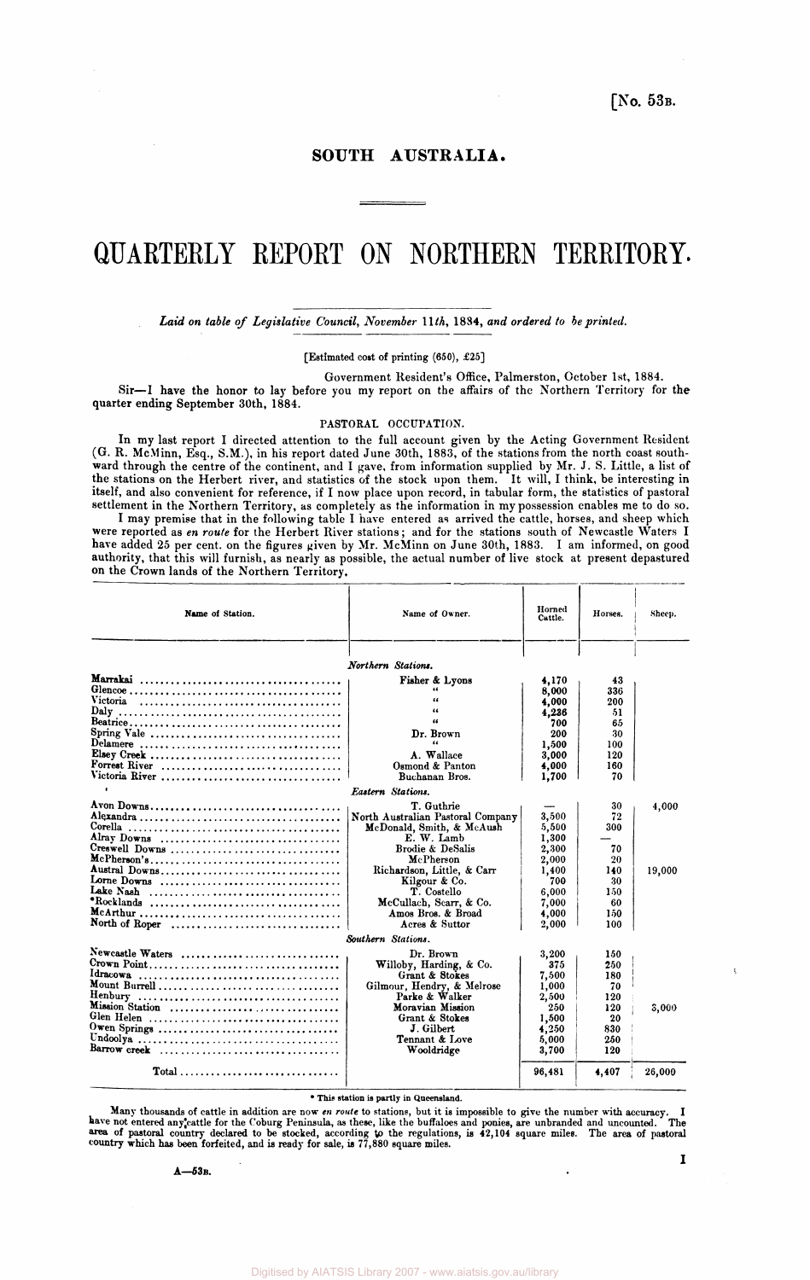# **SOUTH AUSTRALIA.**

# **QUARTERLY REPORT ON NORTHERN TERRITORY.**

## *Laid on table of Legislative Council, November* **11th, 1884,** *and ordered to be printed.*

[Estimated cost of printing (650), £25]

Government Resident's Office, Palmerston, October 1st, 1884. Sir—I have the honor to lay before you my report on the affairs of the Northern Territory for the quarter ending September 30th, 1884.

# PASTORAL OCCUPATION.

In my last report I directed attention to the full account given by the Acting Government Resident (G. R. McMinn, Esq., S.M.), in his report dated June 30th, 1883, of the stations from the north coast southward through the centre of the continent, and I gave, from information supplied by Mr. J. S. Little, a list of the stations on the Herbert river, and statistics of the stock upon them. It will, I think, be interesting in itself, and also convenient for reference, if I now place upon record, in tabular form, the statistics of pastoral settlement in the Northern Territory, as completely as the information in my possession enables me to do so.

I may premise that in the following table I have entered as arrived the cattle, horses, and sheep which were reported as *en route* for the Herbert River stations; and for the stations south of Newcastle Waters I have added 25 per cent, on the figures given by Mr. McMinn on June 30th, 1883. I am informed, on good authority, that this will furnish, as nearly as possible, the actual number of live stock at present depastured on the Crown lands of the Northern Territory,

| Name of Station.                                                                                                            | Name of Owner.                                                                                                                                                                                                                                               | Horned<br>Cattle.                                                                             | Horses.                                                             | Sheep.          |
|-----------------------------------------------------------------------------------------------------------------------------|--------------------------------------------------------------------------------------------------------------------------------------------------------------------------------------------------------------------------------------------------------------|-----------------------------------------------------------------------------------------------|---------------------------------------------------------------------|-----------------|
|                                                                                                                             | Northern Stations.                                                                                                                                                                                                                                           |                                                                                               |                                                                     |                 |
| Victoria                                                                                                                    | Fisher & Lyons<br>$\epsilon$<br>66<br>66<br>Dr. Brown<br>$\epsilon$<br>A. Wallace                                                                                                                                                                            | 4.170<br>8,000<br>4,000<br>4,236<br>700<br>200<br>1,500<br>3,000                              | 43<br>336<br>200<br>51<br>65<br>30<br>100<br>120                    |                 |
| Forrest River                                                                                                               | Osmond & Panton<br>Buchanan Bros.                                                                                                                                                                                                                            | 4,000<br>1,700                                                                                | 160<br>70                                                           |                 |
|                                                                                                                             | Eastern Stations.                                                                                                                                                                                                                                            |                                                                                               |                                                                     |                 |
| Avon Downs<br><b>Corella</b><br>Creswell Downs<br>Austral Downs<br>Lorne Downs<br>Lake Nash<br>*Rocklands<br>North of Roper | T. Guthrie<br>North Australian Pastoral Company<br>McDonald, Smith, & McAush<br>E. W. Lamb<br>Brodie & DeSalis<br>McPherson<br>Richardson, Little, & Carr<br>Kilgour & Co.<br>T. Costello<br>McCullach, Scarr, & Co.<br>Amos Bros. & Broad<br>Acres & Suttor | 3,500<br>5,500<br>1,300<br>2,300<br>2,000<br>1,400<br>700<br>6.000<br>7.000<br>4,000<br>2,000 | 30<br>72<br>300<br>70<br>20<br>140<br>30<br>150<br>60<br>150<br>100 | 4,000<br>19,000 |
|                                                                                                                             | Southern Stations.                                                                                                                                                                                                                                           |                                                                                               |                                                                     |                 |
| Newcastle Waters<br>Mission Station<br>Barrow creek                                                                         | Dr. Brown<br>Willoby, Harding, & Co.<br>Grant & Stokes<br>Gilmour, Hendry, & Melrose<br>Parke & Walker<br>Moravian Mission<br>Grant & Stokes<br>J. Gilbert<br>Tennant & Love<br>Wooldridge                                                                   | 3,200<br>375<br>7.500<br>1,000<br>2,500<br>250<br>1,500<br>4,250<br>5,000<br>3,700            | 150<br>250<br>180<br>70<br>120<br>120<br>20<br>830<br>250<br>120    | 3,000           |
| $Total \dots \dots \dots \dots \dots \dots \dots \dots \dots \dots$                                                         |                                                                                                                                                                                                                                                              | 96,481                                                                                        | 4,407                                                               | 26,000          |

• This station is partly in Queensland.

Many thousands of cattle in addition are now *en route* to stations, but it is impossible to give the number with accuracy. I have not entered any cattle for the Coburg Peninsula, as these, like the buffaloes and ponies, are unbranded and uncounted. The area of pastoral country declared to be stocked, according to the regulations, is 42,104 square miles. The area of pastoral country which has been forfeited, and is ready for sale, is 77,880 square miles.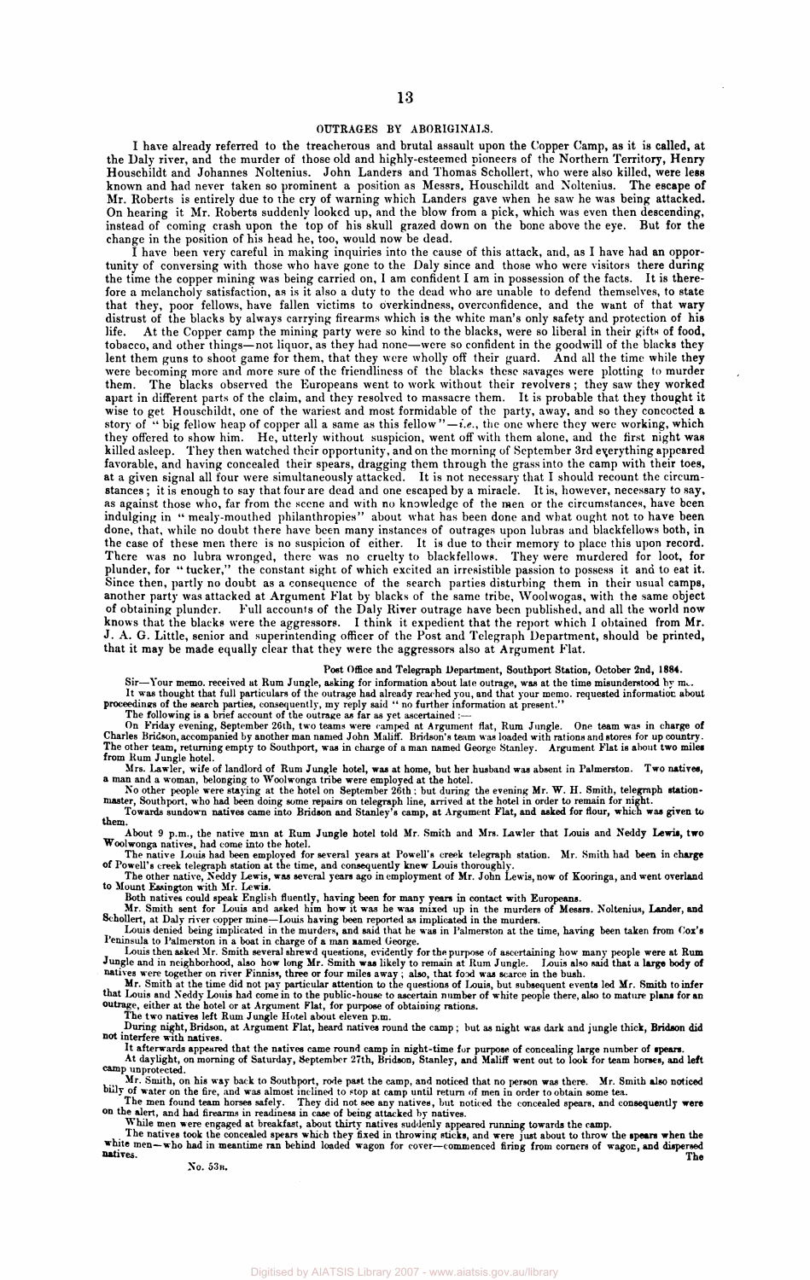#### **OUTRAGES BY ABORIGINALS.**

I have already referred to the treacherous and brutal assault upon the Copper Camp, as it is called, at the Daly river, and the murder of those old and highly-esteemed pioneers of the Northern Territory, Henry Houschildt and Johannes Noltenius. John Landers and Thomas Schollert, who were also killed, were less known and had never taken so prominent a position as Messrs. Houschildt and Noltenius. The escape of Mr. Roberts is entirely due to the cry of warning which Landers gave when he saw he was being attacked. On hearing it Mr. Roberts suddenly looked up, and the blow from a pick, which was even then descending, instead of coming crash upon the top of his skull grazed down on the bone above the eye. But for the change in the position of his head he, too, would now be dead.

I have been very careful in making inquiries into the cause of this attack, and, as I have had an opportunity of conversing with those who have gone to the Daly since and those who were visitors there during the time the copper mining was being carried on, I am confident I am in possession of the facts. It is therefore a melancholy satisfaction, as is it also a duty to the dead who are unable to defend themselves, to state that they, poor fellows, have fallen victims to overkindness, overconfidence, and the want of that wary distrust of the blacks by always carrying firearms which is the white man's only safety and protection of his life. At the Copper camp the mining party were so kind to the blacks, were so liberal in their gifts of food, tobacco, and other things—not liquor, as they had none—were so confident in the goodwill of the blacks they lent them guns to shoot game for them, that they were wholly off their guard. And all the time while they were becoming more and more sure of the friendliness of the blacks these savages were plotting to murder them. The blacks observed the Europeans went to work without their revolvers ; they saw they worked apart in different parts of the claim, and they resolved to massacre them. It is probable that they thought it wise to get Houschildt, one of the wariest and most formidable of the party, away, and so they concocted a story of " big fellow heap of copper all a same as this fellow "— *i.e.,* the one where they were working, which they offered to show him. He, utterly without suspicion, went off with them alone, and the first night was killed asleep. They then watched their opportunity, and on the morning of September 3rd everything appeared killed asleep. They then watched their opportunity, and on the morning of September 3rd everything appeared favorable, and having concealed their spears, dragging them through the grass into the camp with their toes, at a given signal all four were simultaneously attacked. It is not necessary that I should recount the circumstances ; it is enough to say that four are dead and one escaped by a miracle. It is, however, necessary to say, as against those who, far from the scene and with no knowledge of the men or the circumstances, have been indulging in " mealy-mouthed philanthropies" about what has been done and what ought not to have been done, that, while no doubt there have been many instances of outrages upon lubras and blackfellows both, in the case of these men there is no suspicion of either. It is due to their memory to place this upon record. There was no lubra wronged, there was no cruelty to blackfellows. They were murdered for loot, for plunder, for " tucker," the constant sight of which excited an irresistible passion to possess it and to eat it. Since then, partly no doubt as a consequence of the search parties disturbing them in their usual camps, another party was attacked at Argument Flat by blacks of the same tribe, Woolwogas, with the same object of obtaining plunder. Full accounts of the Daly River outrage have been published, and all the world now knows that the blacks were the aggressors. I think it expedient that the report which I obtained from Mr. J. A. G. Little, senior and superintending officer of the Post and Telegraph Department, should be printed, that it may be made equally clear that they were the aggressors also at Argument Flat.

**Post Office and Telegraph Department, Southport Station, October 2nd, 1884.** 

**Sir—Your memo, received at Rum Jungle, asking for information about late outrage, was at the time misunderstood by me.** 

It was thought that full particulars of the outrage had already reached you, and that your memo. requested information about proceedings of the search parties, consequently, my reply said "no further information at present

from Rum Jungle hotel.<br>
Mrs. Lawler, wife of landlord of Rum Jungle hotel, was at home, but her husband was absent in Palmerston. Two natives,<br>
a man and a woman, belonging to Woolwonga tribe were employed at the hotel.<br>
N

About 9 p.m., the native man at Rum Jungle hotel told Mr. Smith and Mrs. Lawler that Louis and Neddy Lewis, two<br>Woolwonga natives, had come into the hotel.<br>The native Louis habeen employed for several years at Powell's cre

Louis then asked Mr. Smith several shrewd questions, evidently for the purpose of ascertaining how many people were at Rum Jungle and in neighborhood, also how long Mr. Smith was likely to remain at Rum Jungle. Louis also

not interfere with natives.<br>It afterwards appeared that the natives came round camp in night-time for purpose of concealing large number of spears.<br>At daylight, on morning of Saturday, September 27th, Bridson, Stanley, and

camp unprotected.<br>
Mr. Smith also noticed<br>
Mr. Smith also noticed<br>
Dily of water on the fire, and was almost inclined to stop at camp until return of men in order to obtain some tea.<br>
The men found team horses safely. They

**No. 53R.**